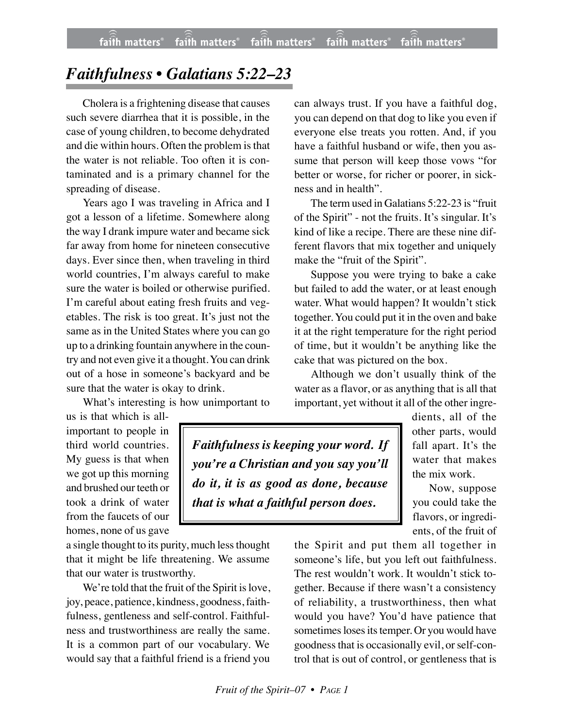## *Faithfulness • Galatians 5:22–23*

Cholera is a frightening disease that causes such severe diarrhea that it is possible, in the case of young children, to become dehydrated and die within hours. Often the problem is that the water is not reliable. Too often it is contaminated and is a primary channel for the spreading of disease.

Years ago I was traveling in Africa and I got a lesson of a lifetime. Somewhere along the way I drank impure water and became sick far away from home for nineteen consecutive days. Ever since then, when traveling in third world countries, I'm always careful to make sure the water is boiled or otherwise purified. I'm careful about eating fresh fruits and vegetables. The risk is too great. It's just not the same as in the United States where you can go up to a drinking fountain anywhere in the country and not even give it a thought. You can drink out of a hose in someone's backyard and be sure that the water is okay to drink.

What's interesting is how unimportant to

us is that which is allimportant to people in third world countries. My guess is that when we got up this morning and brushed our teeth or took a drink of water from the faucets of our homes, none of us gave

a single thought to its purity, much less thought that it might be life threatening. We assume that our water is trustworthy.

We're told that the fruit of the Spirit is love, joy, peace, patience, kindness, goodness, faithfulness, gentleness and self-control. Faithfulness and trustworthiness are really the same. It is a common part of our vocabulary. We would say that a faithful friend is a friend you

can always trust. If you have a faithful dog, you can depend on that dog to like you even if everyone else treats you rotten. And, if you have a faithful husband or wife, then you assume that person will keep those vows "for better or worse, for richer or poorer, in sickness and in health".

The term used in Galatians 5:22-23 is "fruit of the Spirit" - not the fruits. It's singular. It's kind of like a recipe. There are these nine different flavors that mix together and uniquely make the "fruit of the Spirit".

Suppose you were trying to bake a cake but failed to add the water, or at least enough water. What would happen? It wouldn't stick together. You could put it in the oven and bake it at the right temperature for the right period of time, but it wouldn't be anything like the cake that was pictured on the box.

Although we don't usually think of the water as a flavor, or as anything that is all that important, yet without it all of the other ingre-

*Faithfulness is keeping your word. If you're a Christian and you say you'll do it, it is as good as done, because that is what a faithful person does.*

dients, all of the other parts, would fall apart. It's the water that makes the mix work.

Now, suppose you could take the flavors, or ingredients, of the fruit of

the Spirit and put them all together in someone's life, but you left out faithfulness. The rest wouldn't work. It wouldn't stick together. Because if there wasn't a consistency of reliability, a trustworthiness, then what would you have? You'd have patience that sometimes loses its temper. Or you would have goodness that is occasionally evil, or self-control that is out of control, or gentleness that is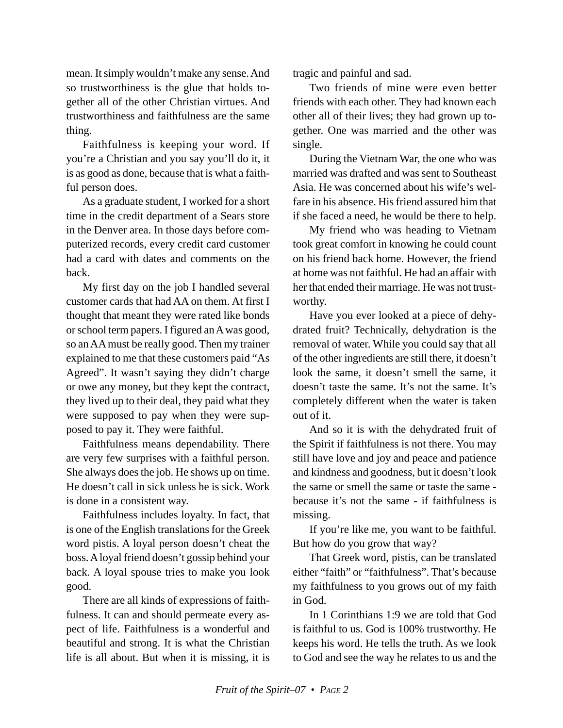mean. It simply wouldn't make any sense. And so trustworthiness is the glue that holds together all of the other Christian virtues. And trustworthiness and faithfulness are the same thing.

Faithfulness is keeping your word. If you're a Christian and you say you'll do it, it is as good as done, because that is what a faithful person does.

As a graduate student, I worked for a short time in the credit department of a Sears store in the Denver area. In those days before computerized records, every credit card customer had a card with dates and comments on the back.

My first day on the job I handled several customer cards that had AA on them. At first I thought that meant they were rated like bonds or school term papers. I figured an A was good, so an AA must be really good. Then my trainer explained to me that these customers paid "As Agreed". It wasn't saying they didn't charge or owe any money, but they kept the contract, they lived up to their deal, they paid what they were supposed to pay when they were supposed to pay it. They were faithful.

Faithfulness means dependability. There are very few surprises with a faithful person. She always does the job. He shows up on time. He doesn't call in sick unless he is sick. Work is done in a consistent way.

Faithfulness includes loyalty. In fact, that is one of the English translations for the Greek word pistis. A loyal person doesn't cheat the boss. A loyal friend doesn't gossip behind your back. A loyal spouse tries to make you look good.

There are all kinds of expressions of faithfulness. It can and should permeate every aspect of life. Faithfulness is a wonderful and beautiful and strong. It is what the Christian life is all about. But when it is missing, it is tragic and painful and sad.

Two friends of mine were even better friends with each other. They had known each other all of their lives; they had grown up together. One was married and the other was single.

During the Vietnam War, the one who was married was drafted and was sent to Southeast Asia. He was concerned about his wife's welfare in his absence. His friend assured him that if she faced a need, he would be there to help.

My friend who was heading to Vietnam took great comfort in knowing he could count on his friend back home. However, the friend at home was not faithful. He had an affair with her that ended their marriage. He was not trustworthy.

Have you ever looked at a piece of dehydrated fruit? Technically, dehydration is the removal of water. While you could say that all of the other ingredients are still there, it doesn't look the same, it doesn't smell the same, it doesn't taste the same. It's not the same. It's completely different when the water is taken out of it.

And so it is with the dehydrated fruit of the Spirit if faithfulness is not there. You may still have love and joy and peace and patience and kindness and goodness, but it doesn't look the same or smell the same or taste the same because it's not the same - if faithfulness is missing.

If you're like me, you want to be faithful. But how do you grow that way?

That Greek word, pistis, can be translated either "faith" or "faithfulness". That's because my faithfulness to you grows out of my faith in God.

In 1 Corinthians 1:9 we are told that God is faithful to us. God is 100% trustworthy. He keeps his word. He tells the truth. As we look to God and see the way he relates to us and the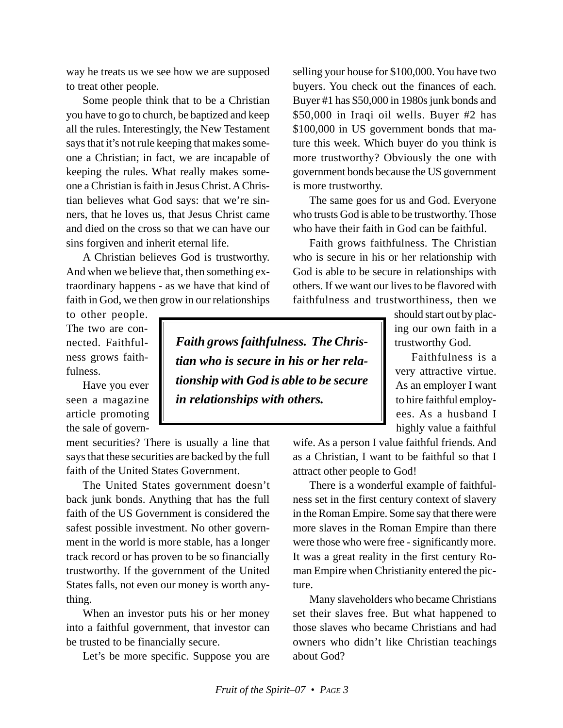way he treats us we see how we are supposed to treat other people.

Some people think that to be a Christian you have to go to church, be baptized and keep all the rules. Interestingly, the New Testament says that it's not rule keeping that makes someone a Christian; in fact, we are incapable of keeping the rules. What really makes someone a Christian is faith in Jesus Christ. A Christian believes what God says: that we're sinners, that he loves us, that Jesus Christ came and died on the cross so that we can have our sins forgiven and inherit eternal life.

A Christian believes God is trustworthy. And when we believe that, then something extraordinary happens - as we have that kind of faith in God, we then grow in our relationships

to other people. The two are connected. Faithfulness grows faithfulness.

Have you ever seen a magazine article promoting the sale of govern-

ment securities? There is usually a line that says that these securities are backed by the full faith of the United States Government.

The United States government doesn't back junk bonds. Anything that has the full faith of the US Government is considered the safest possible investment. No other government in the world is more stable, has a longer track record or has proven to be so financially trustworthy. If the government of the United States falls, not even our money is worth anything.

When an investor puts his or her money into a faithful government, that investor can be trusted to be financially secure.

Let's be more specific. Suppose you are

selling your house for \$100,000. You have two buyers. You check out the finances of each. Buyer #1 has \$50,000 in 1980s junk bonds and \$50,000 in Iraqi oil wells. Buyer #2 has \$100,000 in US government bonds that mature this week. Which buyer do you think is more trustworthy? Obviously the one with government bonds because the US government is more trustworthy.

The same goes for us and God. Everyone who trusts God is able to be trustworthy. Those who have their faith in God can be faithful.

Faith grows faithfulness. The Christian who is secure in his or her relationship with God is able to be secure in relationships with others. If we want our lives to be flavored with faithfulness and trustworthiness, then we

> should start out by placing our own faith in a trustworthy God.

> Faithfulness is a very attractive virtue. As an employer I want to hire faithful employees. As a husband I highly value a faithful

wife. As a person I value faithful friends. And as a Christian, I want to be faithful so that I attract other people to God!

There is a wonderful example of faithfulness set in the first century context of slavery in the Roman Empire. Some say that there were more slaves in the Roman Empire than there were those who were free - significantly more. It was a great reality in the first century Roman Empire when Christianity entered the picture.

Many slaveholders who became Christians set their slaves free. But what happened to those slaves who became Christians and had owners who didn't like Christian teachings about God?

*Faith grows faithfulness. The Christian who is secure in his or her relationship with God is able to be secure in relationships with others.*